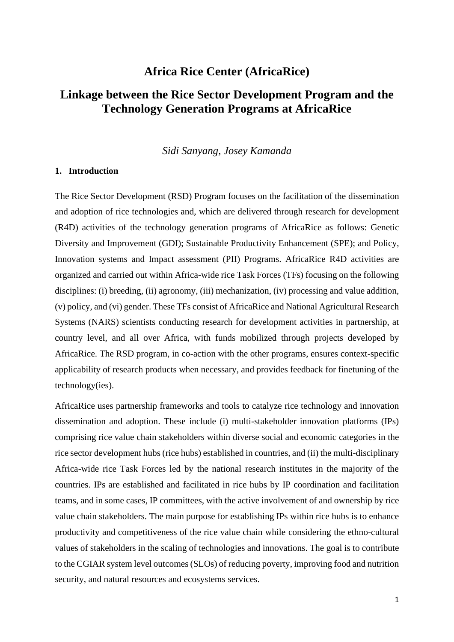## **Africa Rice Center (AfricaRice)**

# **Linkage between the Rice Sector Development Program and the Technology Generation Programs at AfricaRice**

*Sidi Sanyang, Josey Kamanda*

### **1. Introduction**

The Rice Sector Development (RSD) Program focuses on the facilitation of the dissemination and adoption of rice technologies and, which are delivered through research for development (R4D) activities of the technology generation programs of AfricaRice as follows: Genetic Diversity and Improvement (GDI); Sustainable Productivity Enhancement (SPE); and Policy, Innovation systems and Impact assessment (PII) Programs. AfricaRice R4D activities are organized and carried out within Africa-wide rice Task Forces (TFs) focusing on the following disciplines: (i) breeding, (ii) agronomy, (iii) mechanization, (iv) processing and value addition, (v) policy, and (vi) gender. These TFs consist of AfricaRice and National Agricultural Research Systems (NARS) scientists conducting research for development activities in partnership, at country level, and all over Africa, with funds mobilized through projects developed by AfricaRice. The RSD program, in co-action with the other programs, ensures context-specific applicability of research products when necessary, and provides feedback for finetuning of the technology(ies).

AfricaRice uses partnership frameworks and tools to catalyze rice technology and innovation dissemination and adoption. These include (i) multi-stakeholder innovation platforms (IPs) comprising rice value chain stakeholders within diverse social and economic categories in the rice sector development hubs (rice hubs) established in countries, and (ii) the multi-disciplinary Africa-wide rice Task Forces led by the national research institutes in the majority of the countries. IPs are established and facilitated in rice hubs by IP coordination and facilitation teams, and in some cases, IP committees, with the active involvement of and ownership by rice value chain stakeholders. The main purpose for establishing IPs within rice hubs is to enhance productivity and competitiveness of the rice value chain while considering the ethno-cultural values of stakeholders in the scaling of technologies and innovations. The goal is to contribute to the CGIAR system level outcomes (SLOs) of reducing poverty, improving food and nutrition security, and natural resources and ecosystems services.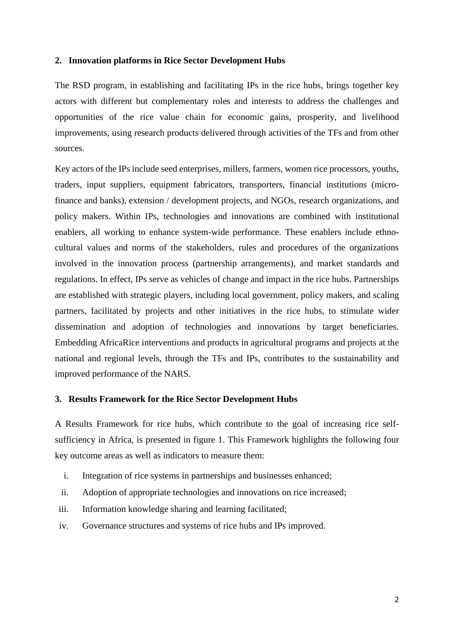### **2. Innovation platforms in Rice Sector Development Hubs**

The RSD program, in establishing and facilitating IPs in the rice hubs, brings together key actors with different but complementary roles and interests to address the challenges and opportunities of the rice value chain for economic gains, prosperity, and livelihood improvements, using research products delivered through activities of the TFs and from other sources.

Key actors of the IPs include seed enterprises, millers, farmers, women rice processors, youths, traders, input suppliers, equipment fabricators, transporters, financial institutions (microfinance and banks), extension / development projects, and NGOs, research organizations, and policy makers. Within IPs, technologies and innovations are combined with institutional enablers, all working to enhance system-wide performance. These enablers include ethnocultural values and norms of the stakeholders, rules and procedures of the organizations involved in the innovation process (partnership arrangements), and market standards and regulations. In effect, IPs serve as vehicles of change and impact in the rice hubs. Partnerships are established with strategic players, including local government, policy makers, and scaling partners, facilitated by projects and other initiatives in the rice hubs, to stimulate wider dissemination and adoption of technologies and innovations by target beneficiaries. Embedding AfricaRice interventions and products in agricultural programs and projects at the national and regional levels, through the TFs and IPs, contributes to the sustainability and improved performance of the NARS.

### **3. Results Framework for the Rice Sector Development Hubs**

A Results Framework for rice hubs, which contribute to the goal of increasing rice selfsufficiency in Africa, is presented in figure 1. This Framework highlights the following four key outcome areas as well as indicators to measure them:

- i. Integration of rice systems in partnerships and businesses enhanced;
- ii. Adoption of appropriate technologies and innovations on rice increased;
- iii. Information knowledge sharing and learning facilitated;
- iv. Governance structures and systems of rice hubs and IPs improved.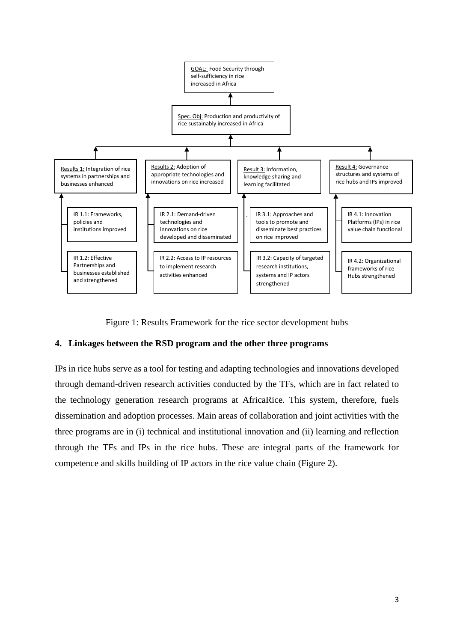

Figure 1: Results Framework for the rice sector development hubs

## **4. Linkages between the RSD program and the other three programs**

IPs in rice hubs serve as a tool for testing and adapting technologies and innovations developed through demand-driven research activities conducted by the TFs, which are in fact related to the technology generation research programs at AfricaRice. This system, therefore, fuels dissemination and adoption processes. Main areas of collaboration and joint activities with the three programs are in (i) technical and institutional innovation and (ii) learning and reflection through the TFs and IPs in the rice hubs. These are integral parts of the framework for competence and skills building of IP actors in the rice value chain (Figure 2).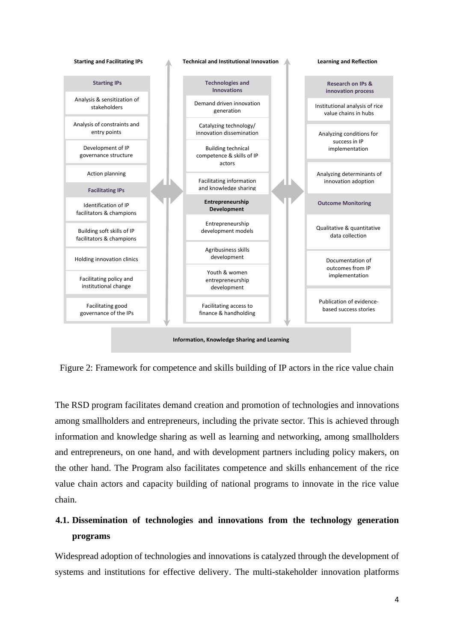

Figure 2: Framework for competence and skills building of IP actors in the rice value chain

The RSD program facilitates demand creation and promotion of technologies and innovations among smallholders and entrepreneurs, including the private sector. This is achieved through information and knowledge sharing as well as learning and networking, among smallholders and entrepreneurs, on one hand, and with development partners including policy makers, on the other hand. The Program also facilitates competence and skills enhancement of the rice value chain actors and capacity building of national programs to innovate in the rice value chain.

# **4.1. Dissemination of technologies and innovations from the technology generation programs**

Widespread adoption of technologies and innovations is catalyzed through the development of systems and institutions for effective delivery. The multi-stakeholder innovation platforms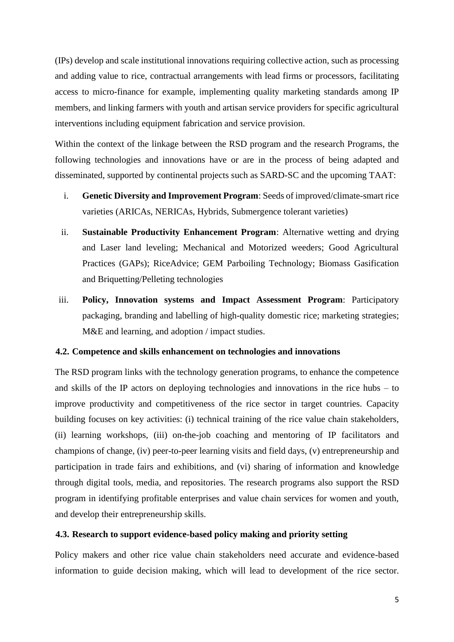(IPs) develop and scale institutional innovations requiring collective action, such as processing and adding value to rice, contractual arrangements with lead firms or processors, facilitating access to micro-finance for example, implementing quality marketing standards among IP members, and linking farmers with youth and artisan service providers for specific agricultural interventions including equipment fabrication and service provision.

Within the context of the linkage between the RSD program and the research Programs, the following technologies and innovations have or are in the process of being adapted and disseminated, supported by continental projects such as SARD-SC and the upcoming TAAT:

- i. **Genetic Diversity and Improvement Program**: Seeds of improved/climate-smart rice varieties (ARICAs, NERICAs, Hybrids, Submergence tolerant varieties)
- ii. **Sustainable Productivity Enhancement Program**: Alternative wetting and drying and Laser land leveling; Mechanical and Motorized weeders; Good Agricultural Practices (GAPs); RiceAdvice; GEM Parboiling Technology; Biomass Gasification and Briquetting/Pelleting technologies
- iii. **Policy, Innovation systems and Impact Assessment Program**: Participatory packaging, branding and labelling of high-quality domestic rice; marketing strategies; M&E and learning, and adoption / impact studies.

#### **4.2. Competence and skills enhancement on technologies and innovations**

The RSD program links with the technology generation programs, to enhance the competence and skills of the IP actors on deploying technologies and innovations in the rice hubs – to improve productivity and competitiveness of the rice sector in target countries. Capacity building focuses on key activities: (i) technical training of the rice value chain stakeholders, (ii) learning workshops, (iii) on-the-job coaching and mentoring of IP facilitators and champions of change, (iv) peer-to-peer learning visits and field days, (v) entrepreneurship and participation in trade fairs and exhibitions, and (vi) sharing of information and knowledge through digital tools, media, and repositories. The research programs also support the RSD program in identifying profitable enterprises and value chain services for women and youth, and develop their entrepreneurship skills.

#### **4.3. Research to support evidence-based policy making and priority setting**

Policy makers and other rice value chain stakeholders need accurate and evidence-based information to guide decision making, which will lead to development of the rice sector.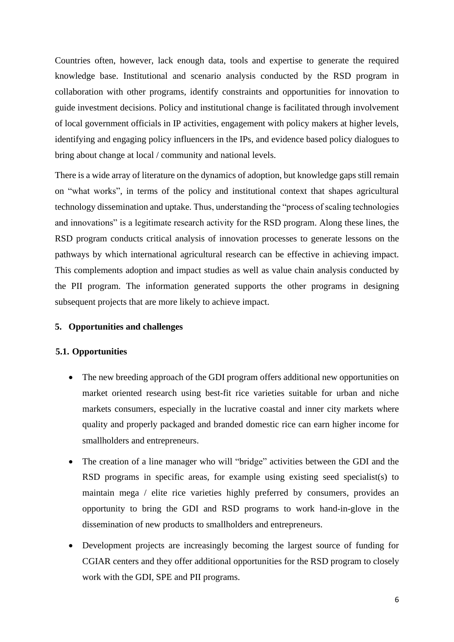Countries often, however, lack enough data, tools and expertise to generate the required knowledge base. Institutional and scenario analysis conducted by the RSD program in collaboration with other programs, identify constraints and opportunities for innovation to guide investment decisions. Policy and institutional change is facilitated through involvement of local government officials in IP activities, engagement with policy makers at higher levels, identifying and engaging policy influencers in the IPs, and evidence based policy dialogues to bring about change at local / community and national levels.

There is a wide array of literature on the dynamics of adoption, but knowledge gaps still remain on "what works", in terms of the policy and institutional context that shapes agricultural technology dissemination and uptake. Thus, understanding the "process of scaling technologies and innovations" is a legitimate research activity for the RSD program. Along these lines, the RSD program conducts critical analysis of innovation processes to generate lessons on the pathways by which international agricultural research can be effective in achieving impact. This complements adoption and impact studies as well as value chain analysis conducted by the PII program. The information generated supports the other programs in designing subsequent projects that are more likely to achieve impact.

### **5. Opportunities and challenges**

### **5.1. Opportunities**

- The new breeding approach of the GDI program offers additional new opportunities on market oriented research using best-fit rice varieties suitable for urban and niche markets consumers, especially in the lucrative coastal and inner city markets where quality and properly packaged and branded domestic rice can earn higher income for smallholders and entrepreneurs.
- The creation of a line manager who will "bridge" activities between the GDI and the RSD programs in specific areas, for example using existing seed specialist(s) to maintain mega / elite rice varieties highly preferred by consumers, provides an opportunity to bring the GDI and RSD programs to work hand-in-glove in the dissemination of new products to smallholders and entrepreneurs.
- Development projects are increasingly becoming the largest source of funding for CGIAR centers and they offer additional opportunities for the RSD program to closely work with the GDI, SPE and PII programs.